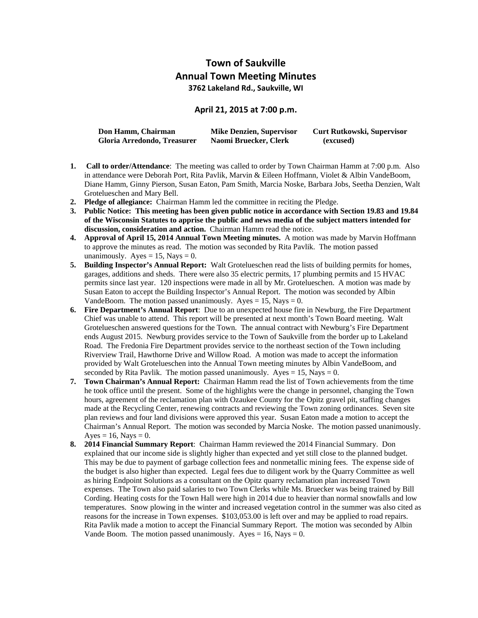## **Town of Saukville Annual Town Meeting Minutes**

**3762 Lakeland Rd., Saukville, WI**

## **April 21, 2015 at 7:00 p.m.**

| Don Hamm, Chairman          | Mike Denzien, Supervisor | <b>Curt Rutkowski, Supervisor</b> |
|-----------------------------|--------------------------|-----------------------------------|
| Gloria Arredondo, Treasurer | Naomi Bruecker, Clerk    | (excused)                         |

- **1. Call to order/Attendance**: The meeting was called to order by Town Chairman Hamm at 7:00 p.m. Also in attendance were Deborah Port, Rita Pavlik, Marvin & Eileen Hoffmann, Violet & Albin VandeBoom, Diane Hamm, Ginny Pierson, Susan Eaton, Pam Smith, Marcia Noske, Barbara Jobs, Seetha Denzien, Walt Grotelueschen and Mary Bell.
- **2. Pledge of allegiance:** Chairman Hamm led the committee in reciting the Pledge.
- **3. Public Notice: This meeting has been given public notice in accordance with Section 19.83 and 19.84 of the Wisconsin Statutes to apprise the public and news media of the subject matters intended for discussion, consideration and action.** Chairman Hamm read the notice.
- **4. Approval of April 15, 2014 Annual Town Meeting minutes.** A motion was made by Marvin Hoffmann to approve the minutes as read. The motion was seconded by Rita Pavlik. The motion passed unanimously. Ayes = 15, Nays = 0.
- **5. Building Inspector's Annual Report:** Walt Grotelueschen read the lists of building permits for homes, garages, additions and sheds. There were also 35 electric permits, 17 plumbing permits and 15 HVAC permits since last year. 120 inspections were made in all by Mr. Grotelueschen. A motion was made by Susan Eaton to accept the Building Inspector's Annual Report. The motion was seconded by Albin VandeBoom. The motion passed unanimously. Ayes  $= 15$ , Nays  $= 0$ .
- **6. Fire Department's Annual Report**: Due to an unexpected house fire in Newburg, the Fire Department Chief was unable to attend. This report will be presented at next month's Town Board meeting. Walt Grotelueschen answered questions for the Town. The annual contract with Newburg's Fire Department ends August 2015. Newburg provides service to the Town of Saukville from the border up to Lakeland Road. The Fredonia Fire Department provides service to the northeast section of the Town including Riverview Trail, Hawthorne Drive and Willow Road. A motion was made to accept the information provided by Walt Grotelueschen into the Annual Town meeting minutes by Albin VandeBoom, and seconded by Rita Pavlik. The motion passed unanimously. Ayes =  $15$ , Nays = 0.
- **7. Town Chairman's Annual Report:** Chairman Hamm read the list of Town achievements from the time he took office until the present. Some of the highlights were the change in personnel, changing the Town hours, agreement of the reclamation plan with Ozaukee County for the Opitz gravel pit, staffing changes made at the Recycling Center, renewing contracts and reviewing the Town zoning ordinances. Seven site plan reviews and four land divisions were approved this year. Susan Eaton made a motion to accept the Chairman's Annual Report. The motion was seconded by Marcia Noske. The motion passed unanimously.  $Ayes = 16$ ,  $Nays = 0$ .
- **8. 2014 Financial Summary Report**: Chairman Hamm reviewed the 2014 Financial Summary. Don explained that our income side is slightly higher than expected and yet still close to the planned budget. This may be due to payment of garbage collection fees and nonmetallic mining fees. The expense side of the budget is also higher than expected. Legal fees due to diligent work by the Quarry Committee as well as hiring Endpoint Solutions as a consultant on the Opitz quarry reclamation plan increased Town expenses. The Town also paid salaries to two Town Clerks while Ms. Bruecker was being trained by Bill Cording. Heating costs for the Town Hall were high in 2014 due to heavier than normal snowfalls and low temperatures. Snow plowing in the winter and increased vegetation control in the summer was also cited as reasons for the increase in Town expenses. \$103,053.00 is left over and may be applied to road repairs. Rita Pavlik made a motion to accept the Financial Summary Report. The motion was seconded by Albin Vande Boom. The motion passed unanimously. Ayes = 16, Nays = 0.